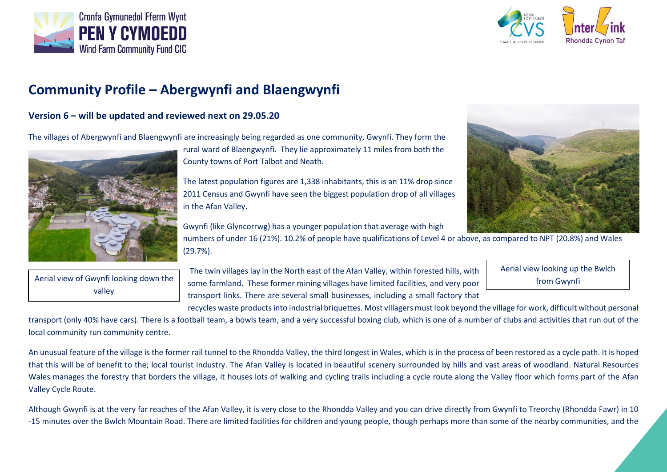



## **Community Profile – Abergwynfi and Blaengwynfi**

## **Version 6 – will be updated and reviewed next on 29.05.20**

The villages of Abergwynfi and Blaengwynfi are increasingly being regarded as one community, Gwynfi. They form the



rural ward of Blaengwynfi. They lie approximately 11 miles from both the County towns of Port Talbot and Neath.

The latest population figures are 1,338 inhabitants, this is an 11% drop since 2011 Census and Gwynfi have seen the biggest population drop of all villages in the Afan Valley.

Gwynfi (like Glyncorrwg) has a younger population that average with high

numbers of under 16 (21%). 10.2% of people have qualifications of Level 4 or above, as compared to NPT (20.8%) and Wales (29.7%).

Aerial view of Gwynfi looking down the valley

The twin villages lay in the North east of the Afan Valley, within forested hills, with some farmland. These former mining villages have limited facilities, and very poor transport links. There are several small businesses, including a small factory that Aerial view looking up the Bwlch from Gwynfi

recycles waste products into industrial briquettes. Most villagers must look beyond the village for work, difficult without personal

transport (only 40% have cars). There is a football team, a bowls team, and a very successful boxing club, which is one of a number of clubs and activities that run out of the local community run community centre.

An unusual feature of the village is the former rail tunnel to the Rhondda Valley, the third longest in Wales, which is in the process of been restored as a cycle path. It is hoped that this will be of benefit to the; local tourist industry. The Afan Valley is located in beautiful scenery surrounded by hills and vast areas of woodland. Natural Resources Wales manages the forestry that borders the village, it houses lots of walking and cycling trails including a cycle route along the Valley floor which forms part of the Afan Valley Cycle Route.

Although Gwynfi is at the very far reaches of the Afan Valley, it is very close to the Rhondda Valley and you can drive directly from Gwynfi to Treorchy (Rhondda Fawr) in 10 -15 minutes over the Bwlch Mountain Road. There are limited facilities for children and young people, though perhaps more than some of the nearby communities, and the

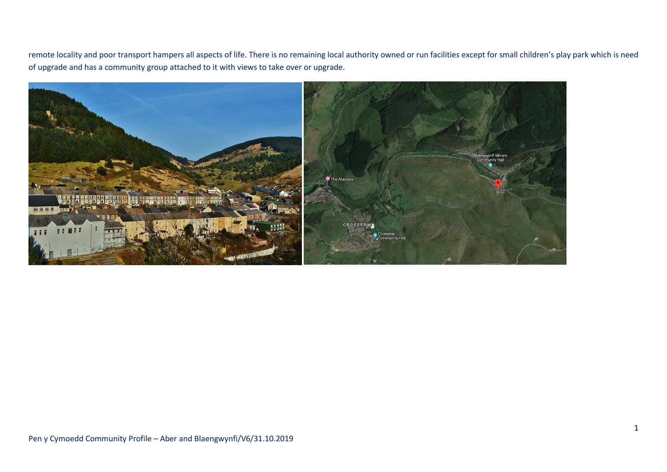remote locality and poor transport hampers all aspects of life. There is no remaining local authority owned or run facilities except for small children's play park which is need of upgrade and has a community group attached to it with views to take over or upgrade.

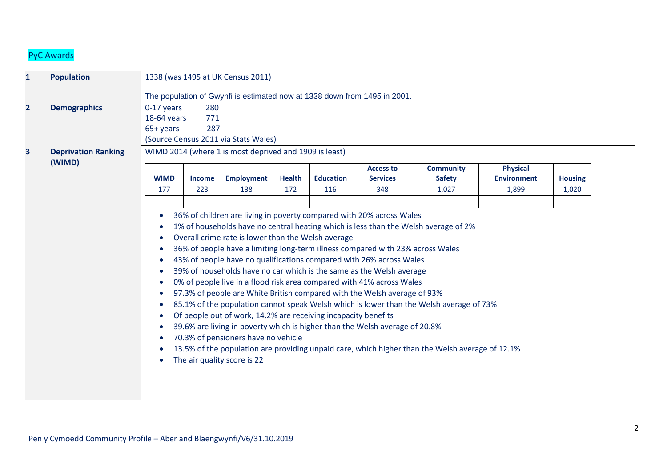## PyC Awards

| $\overline{\mathbf{1}}$ | <b>Population</b>                    |                                                        |               | 1338 (was 1495 at UK Census 2011)                                                                                                                                                          |               |                  |                                                                                                                                                                                                                                                                                                                                                                                                                                                                                                                                           |                                                                                                                                                                                                                                                                                   |                                       |                |  |
|-------------------------|--------------------------------------|--------------------------------------------------------|---------------|--------------------------------------------------------------------------------------------------------------------------------------------------------------------------------------------|---------------|------------------|-------------------------------------------------------------------------------------------------------------------------------------------------------------------------------------------------------------------------------------------------------------------------------------------------------------------------------------------------------------------------------------------------------------------------------------------------------------------------------------------------------------------------------------------|-----------------------------------------------------------------------------------------------------------------------------------------------------------------------------------------------------------------------------------------------------------------------------------|---------------------------------------|----------------|--|
|                         |                                      |                                                        |               |                                                                                                                                                                                            |               |                  | The population of Gwynfi is estimated now at 1338 down from 1495 in 2001.                                                                                                                                                                                                                                                                                                                                                                                                                                                                 |                                                                                                                                                                                                                                                                                   |                                       |                |  |
| $\overline{2}$          | <b>Demographics</b>                  | $0-17$ years<br>18-64 years                            | 280<br>771    |                                                                                                                                                                                            |               |                  |                                                                                                                                                                                                                                                                                                                                                                                                                                                                                                                                           |                                                                                                                                                                                                                                                                                   |                                       |                |  |
|                         |                                      | 65+ years                                              | 287           |                                                                                                                                                                                            |               |                  |                                                                                                                                                                                                                                                                                                                                                                                                                                                                                                                                           |                                                                                                                                                                                                                                                                                   |                                       |                |  |
|                         |                                      |                                                        |               | (Source Census 2011 via Stats Wales)                                                                                                                                                       |               |                  |                                                                                                                                                                                                                                                                                                                                                                                                                                                                                                                                           |                                                                                                                                                                                                                                                                                   |                                       |                |  |
| $\overline{\mathbf{3}}$ | <b>Deprivation Ranking</b><br>(WIMD) | WIMD 2014 (where 1 is most deprived and 1909 is least) |               |                                                                                                                                                                                            |               |                  |                                                                                                                                                                                                                                                                                                                                                                                                                                                                                                                                           |                                                                                                                                                                                                                                                                                   |                                       |                |  |
|                         |                                      | <b>WIMD</b>                                            | <b>Income</b> | <b>Employment</b>                                                                                                                                                                          | <b>Health</b> | <b>Education</b> | <b>Access to</b><br><b>Services</b>                                                                                                                                                                                                                                                                                                                                                                                                                                                                                                       | <b>Community</b><br><b>Safety</b>                                                                                                                                                                                                                                                 | <b>Physical</b><br><b>Environment</b> | <b>Housing</b> |  |
|                         |                                      | 177                                                    | 223           | 138                                                                                                                                                                                        | 172           | 116              | 348                                                                                                                                                                                                                                                                                                                                                                                                                                                                                                                                       | 1,027                                                                                                                                                                                                                                                                             | 1,899                                 | 1,020          |  |
|                         |                                      | - 0                                                    |               | Overall crime rate is lower than the Welsh average<br>Of people out of work, 14.2% are receiving incapacity benefits<br>70.3% of pensioners have no vehicle<br>The air quality score is 22 |               |                  | 36% of children are living in poverty compared with 20% across Wales<br>36% of people have a limiting long-term illness compared with 23% across Wales<br>43% of people have no qualifications compared with 26% across Wales<br>39% of households have no car which is the same as the Welsh average<br>0% of people live in a flood risk area compared with 41% across Wales<br>97.3% of people are White British compared with the Welsh average of 93%<br>39.6% are living in poverty which is higher than the Welsh average of 20.8% | 1% of households have no central heating which is less than the Welsh average of 2%<br>85.1% of the population cannot speak Welsh which is lower than the Welsh average of 73%<br>13.5% of the population are providing unpaid care, which higher than the Welsh average of 12.1% |                                       |                |  |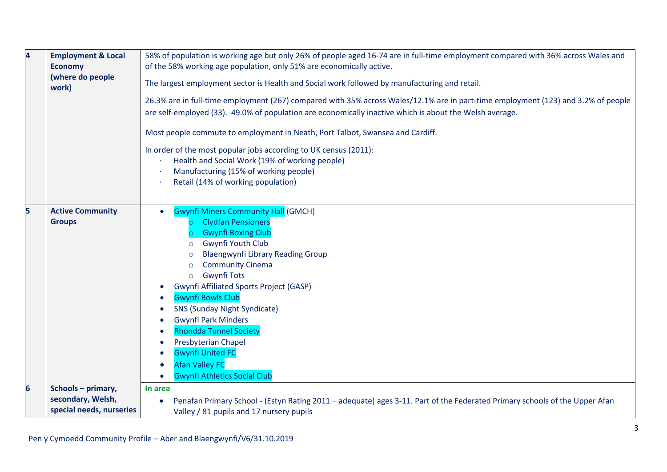| $\overline{\mathbf{4}}$ | <b>Employment &amp; Local</b><br><b>Economy</b><br>(where do people<br>work) | 58% of population is working age but only 26% of people aged 16-74 are in full-time employment compared with 36% across Wales and<br>of the 58% working age population, only 51% are economically active.<br>The largest employment sector is Health and Social work followed by manufacturing and retail.<br>26.3% are in full-time employment (267) compared with 35% across Wales/12.1% are in part-time employment (123) and 3.2% of people<br>are self-employed (33). 49.0% of population are economically inactive which is about the Welsh average.<br>Most people commute to employment in Neath, Port Talbot, Swansea and Cardiff.<br>In order of the most popular jobs according to UK census (2011):<br>Health and Social Work (19% of working people)<br>Manufacturing (15% of working people)<br>Retail (14% of working population) |
|-------------------------|------------------------------------------------------------------------------|--------------------------------------------------------------------------------------------------------------------------------------------------------------------------------------------------------------------------------------------------------------------------------------------------------------------------------------------------------------------------------------------------------------------------------------------------------------------------------------------------------------------------------------------------------------------------------------------------------------------------------------------------------------------------------------------------------------------------------------------------------------------------------------------------------------------------------------------------|
| 5                       | <b>Active Community</b><br><b>Groups</b>                                     | <b>Gwynfi Miners Community Hall (GMCH)</b><br><b>Clydfan Pensioners</b><br><b>Gwynfi Boxing Club</b><br><b>Gwynfi Youth Club</b><br>$\circ$<br><b>Blaengwynfi Library Reading Group</b><br>$\circ$<br><b>Community Cinema</b><br>$\circ$<br><b>Gwynfi Tots</b><br>$\circ$<br>Gwynfi Affiliated Sports Project (GASP)<br><b>Gwynfi Bowls Club</b><br>$\bullet$<br><b>SNS (Sunday Night Syndicate)</b><br>$\bullet$<br><b>Gwynfi Park Minders</b><br>$\bullet$<br><b>Rhondda Tunnel Society</b><br>Presbyterian Chapel<br>$\bullet$<br><b>Gwynfi United FC</b><br>$\bullet$<br><b>Afan Valley FC</b><br><b>Gwynfi Athletics Social Club</b>                                                                                                                                                                                                        |
| $6\overline{6}$         | Schools - primary,<br>secondary, Welsh,<br>special needs, nurseries          | In area<br>Penafan Primary School - (Estyn Rating 2011 – adequate) ages 3-11. Part of the Federated Primary schools of the Upper Afan<br>Valley / 81 pupils and 17 nursery pupils                                                                                                                                                                                                                                                                                                                                                                                                                                                                                                                                                                                                                                                                |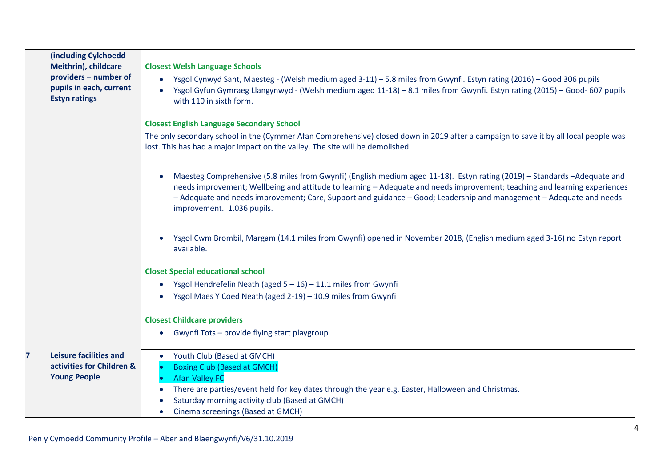|   | (including Cylchoedd<br>Meithrin), childcare<br>providers - number of<br>pupils in each, current<br><b>Estyn ratings</b> | <b>Closest Welsh Language Schools</b><br>Ysgol Cynwyd Sant, Maesteg - (Welsh medium aged 3-11) – 5.8 miles from Gwynfi. Estyn rating (2016) – Good 306 pupils<br>$\bullet$<br>Ysgol Gyfun Gymraeg Llangynwyd - (Welsh medium aged 11-18) – 8.1 miles from Gwynfi. Estyn rating (2015) – Good- 607 pupils<br>with 110 in sixth form.<br><b>Closest English Language Secondary School</b><br>The only secondary school in the (Cymmer Afan Comprehensive) closed down in 2019 after a campaign to save it by all local people was<br>lost. This has had a major impact on the valley. The site will be demolished.<br>Maesteg Comprehensive (5.8 miles from Gwynfi) (English medium aged 11-18). Estyn rating (2019) - Standards -Adequate and<br>$\bullet$<br>needs improvement; Wellbeing and attitude to learning - Adequate and needs improvement; teaching and learning experiences<br>- Adequate and needs improvement; Care, Support and guidance - Good; Leadership and management - Adequate and needs<br>improvement. 1,036 pupils.<br>Ysgol Cwm Brombil, Margam (14.1 miles from Gwynfi) opened in November 2018, (English medium aged 3-16) no Estyn report<br>available.<br><b>Closet Special educational school</b><br>Ysgol Hendrefelin Neath (aged $5 - 16$ ) - 11.1 miles from Gwynfi<br>$\bullet$<br>Ysgol Maes Y Coed Neath (aged 2-19) - 10.9 miles from Gwynfi |
|---|--------------------------------------------------------------------------------------------------------------------------|-----------------------------------------------------------------------------------------------------------------------------------------------------------------------------------------------------------------------------------------------------------------------------------------------------------------------------------------------------------------------------------------------------------------------------------------------------------------------------------------------------------------------------------------------------------------------------------------------------------------------------------------------------------------------------------------------------------------------------------------------------------------------------------------------------------------------------------------------------------------------------------------------------------------------------------------------------------------------------------------------------------------------------------------------------------------------------------------------------------------------------------------------------------------------------------------------------------------------------------------------------------------------------------------------------------------------------------------------------------------------------------|
|   |                                                                                                                          | <b>Closest Childcare providers</b>                                                                                                                                                                                                                                                                                                                                                                                                                                                                                                                                                                                                                                                                                                                                                                                                                                                                                                                                                                                                                                                                                                                                                                                                                                                                                                                                                |
|   |                                                                                                                          | Gwynfi Tots - provide flying start playgroup                                                                                                                                                                                                                                                                                                                                                                                                                                                                                                                                                                                                                                                                                                                                                                                                                                                                                                                                                                                                                                                                                                                                                                                                                                                                                                                                      |
| 7 | <b>Leisure facilities and</b><br>activities for Children &<br><b>Young People</b>                                        | Youth Club (Based at GMCH)<br>$\bullet$<br><b>Boxing Club (Based at GMCH)</b><br>$\bullet$<br><b>Afan Valley FC</b><br>There are parties/event held for key dates through the year e.g. Easter, Halloween and Christmas.<br>Saturday morning activity club (Based at GMCH)                                                                                                                                                                                                                                                                                                                                                                                                                                                                                                                                                                                                                                                                                                                                                                                                                                                                                                                                                                                                                                                                                                        |
|   |                                                                                                                          | Cinema screenings (Based at GMCH)                                                                                                                                                                                                                                                                                                                                                                                                                                                                                                                                                                                                                                                                                                                                                                                                                                                                                                                                                                                                                                                                                                                                                                                                                                                                                                                                                 |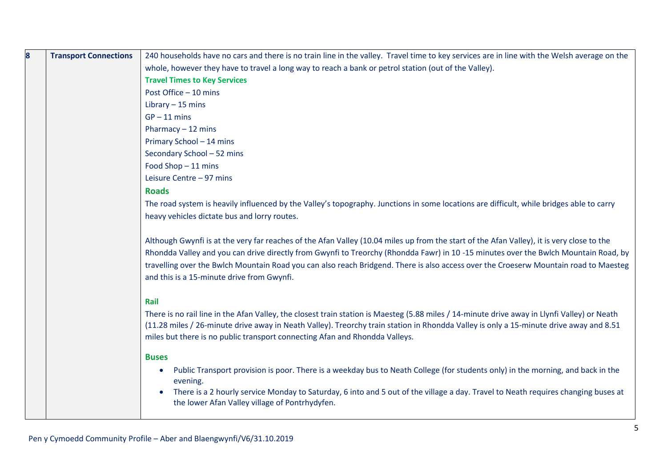| 8 | <b>Transport Connections</b> | 240 households have no cars and there is no train line in the valley. Travel time to key services are in line with the Welsh average on the                                         |
|---|------------------------------|-------------------------------------------------------------------------------------------------------------------------------------------------------------------------------------|
|   |                              | whole, however they have to travel a long way to reach a bank or petrol station (out of the Valley).                                                                                |
|   |                              | <b>Travel Times to Key Services</b>                                                                                                                                                 |
|   |                              | Post Office - 10 mins                                                                                                                                                               |
|   |                              | Library $-15$ mins                                                                                                                                                                  |
|   |                              | $GP - 11$ mins                                                                                                                                                                      |
|   |                              | Pharmacy $-12$ mins                                                                                                                                                                 |
|   |                              | Primary School - 14 mins                                                                                                                                                            |
|   |                              | Secondary School - 52 mins                                                                                                                                                          |
|   |                              | Food Shop - 11 mins                                                                                                                                                                 |
|   |                              | Leisure Centre - 97 mins                                                                                                                                                            |
|   |                              | <b>Roads</b>                                                                                                                                                                        |
|   |                              | The road system is heavily influenced by the Valley's topography. Junctions in some locations are difficult, while bridges able to carry                                            |
|   |                              | heavy vehicles dictate bus and lorry routes.                                                                                                                                        |
|   |                              |                                                                                                                                                                                     |
|   |                              | Although Gwynfi is at the very far reaches of the Afan Valley (10.04 miles up from the start of the Afan Valley), it is very close to the                                           |
|   |                              | Rhondda Valley and you can drive directly from Gwynfi to Treorchy (Rhondda Fawr) in 10-15 minutes over the Bwlch Mountain Road, by                                                  |
|   |                              | travelling over the Bwlch Mountain Road you can also reach Bridgend. There is also access over the Croeserw Mountain road to Maesteg                                                |
|   |                              | and this is a 15-minute drive from Gwynfi.                                                                                                                                          |
|   |                              |                                                                                                                                                                                     |
|   |                              | Rail                                                                                                                                                                                |
|   |                              | There is no rail line in the Afan Valley, the closest train station is Maesteg (5.88 miles / 14-minute drive away in Llynfi Valley) or Neath                                        |
|   |                              | (11.28 miles / 26-minute drive away in Neath Valley). Treorchy train station in Rhondda Valley is only a 15-minute drive away and 8.51                                              |
|   |                              | miles but there is no public transport connecting Afan and Rhondda Valleys.                                                                                                         |
|   |                              | <b>Buses</b>                                                                                                                                                                        |
|   |                              | Public Transport provision is poor. There is a weekday bus to Neath College (for students only) in the morning, and back in the<br>$\bullet$                                        |
|   |                              | evening.                                                                                                                                                                            |
|   |                              | There is a 2 hourly service Monday to Saturday, 6 into and 5 out of the village a day. Travel to Neath requires changing buses at<br>the lower Afan Valley village of Pontrhydyfen. |
|   |                              |                                                                                                                                                                                     |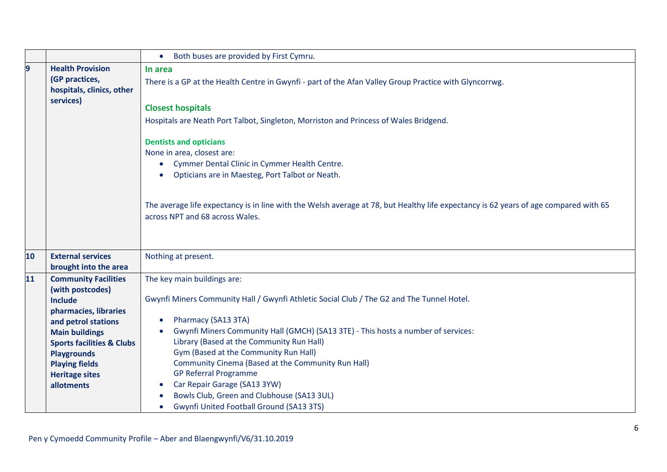|    |                                                                                                                                                                                                                                           | Both buses are provided by First Cymru.<br>$\bullet$                                                                                                                                                                                                                                                                                                                                                                                                     |  |  |  |  |
|----|-------------------------------------------------------------------------------------------------------------------------------------------------------------------------------------------------------------------------------------------|----------------------------------------------------------------------------------------------------------------------------------------------------------------------------------------------------------------------------------------------------------------------------------------------------------------------------------------------------------------------------------------------------------------------------------------------------------|--|--|--|--|
| 9  | <b>Health Provision</b><br>(GP practices,<br>hospitals, clinics, other                                                                                                                                                                    | In area<br>There is a GP at the Health Centre in Gwynfi - part of the Afan Valley Group Practice with Glyncorrwg.                                                                                                                                                                                                                                                                                                                                        |  |  |  |  |
|    | services)                                                                                                                                                                                                                                 | <b>Closest hospitals</b>                                                                                                                                                                                                                                                                                                                                                                                                                                 |  |  |  |  |
|    |                                                                                                                                                                                                                                           | Hospitals are Neath Port Talbot, Singleton, Morriston and Princess of Wales Bridgend.                                                                                                                                                                                                                                                                                                                                                                    |  |  |  |  |
|    |                                                                                                                                                                                                                                           | <b>Dentists and opticians</b><br>None in area, closest are:<br>Cymmer Dental Clinic in Cymmer Health Centre.<br>Opticians are in Maesteg, Port Talbot or Neath.<br>The average life expectancy is in line with the Welsh average at 78, but Healthy life expectancy is 62 years of age compared with 65<br>across NPT and 68 across Wales.                                                                                                               |  |  |  |  |
| 10 | <b>External services</b><br>brought into the area                                                                                                                                                                                         | Nothing at present.                                                                                                                                                                                                                                                                                                                                                                                                                                      |  |  |  |  |
| 11 | <b>Community Facilities</b>                                                                                                                                                                                                               | The key main buildings are:                                                                                                                                                                                                                                                                                                                                                                                                                              |  |  |  |  |
|    | (with postcodes)<br><b>Include</b><br>pharmacies, libraries<br>and petrol stations<br><b>Main buildings</b><br><b>Sports facilities &amp; Clubs</b><br><b>Playgrounds</b><br><b>Playing fields</b><br><b>Heritage sites</b><br>allotments | Gwynfi Miners Community Hall / Gwynfi Athletic Social Club / The G2 and The Tunnel Hotel.<br>Pharmacy (SA13 3TA)<br>$\bullet$<br>Gwynfi Miners Community Hall (GMCH) (SA13 3TE) - This hosts a number of services:<br>$\bullet$<br>Library (Based at the Community Run Hall)<br>Gym (Based at the Community Run Hall)<br>Community Cinema (Based at the Community Run Hall)<br><b>GP Referral Programme</b><br>Car Repair Garage (SA13 3YW)<br>$\bullet$ |  |  |  |  |
|    |                                                                                                                                                                                                                                           | Bowls Club, Green and Clubhouse (SA13 3UL)<br><b>Gwynfi United Football Ground (SA13 3TS)</b>                                                                                                                                                                                                                                                                                                                                                            |  |  |  |  |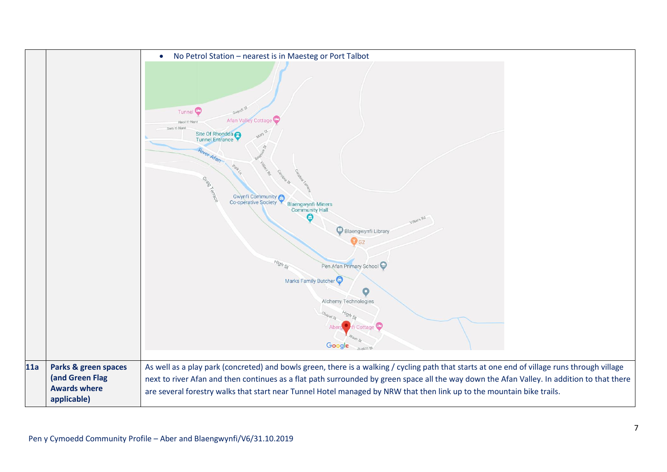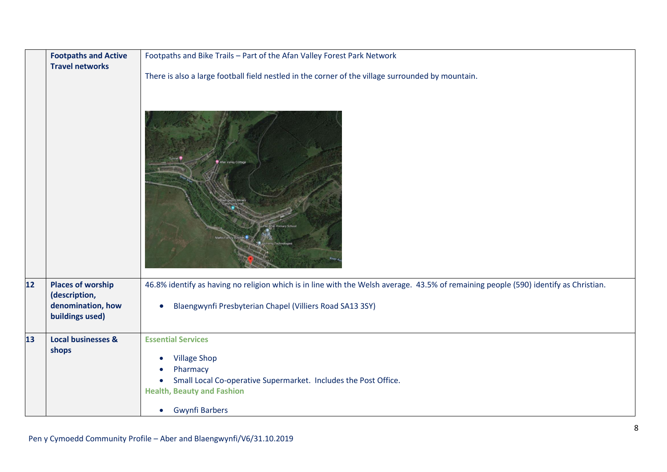|      | <b>Footpaths and Active</b>        | Footpaths and Bike Trails - Part of the Afan Valley Forest Park Network                                                              |  |  |
|------|------------------------------------|--------------------------------------------------------------------------------------------------------------------------------------|--|--|
|      | <b>Travel networks</b>             |                                                                                                                                      |  |  |
|      |                                    | There is also a large football field nestled in the corner of the village surrounded by mountain.<br>Valley Cottage                  |  |  |
|      |                                    |                                                                                                                                      |  |  |
| $12$ | <b>Places of worship</b>           | 46.8% identify as having no religion which is in line with the Welsh average. 43.5% of remaining people (590) identify as Christian. |  |  |
|      | (description,<br>denomination, how | Blaengwynfi Presbyterian Chapel (Villiers Road SA13 3SY)<br>$\bullet$                                                                |  |  |
|      | buildings used)                    |                                                                                                                                      |  |  |
| 13   | <b>Local businesses &amp;</b>      | <b>Essential Services</b>                                                                                                            |  |  |
|      | shops                              | <b>Village Shop</b><br>$\bullet$                                                                                                     |  |  |
|      |                                    | Pharmacy                                                                                                                             |  |  |
|      |                                    | Small Local Co-operative Supermarket. Includes the Post Office.                                                                      |  |  |
|      |                                    | <b>Health, Beauty and Fashion</b>                                                                                                    |  |  |
|      |                                    | <b>Gwynfi Barbers</b><br>$\bullet$                                                                                                   |  |  |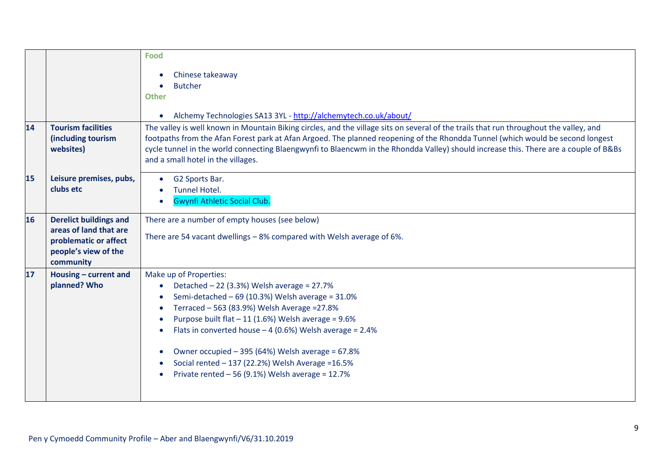| 14 | <b>Tourism facilities</b><br>(including tourism<br>websites)                                                          | Food<br>Chinese takeaway<br><b>Butcher</b><br><b>Other</b><br>Alchemy Technologies SA13 3YL - http://alchemytech.co.uk/about/<br>The valley is well known in Mountain Biking circles, and the village sits on several of the trails that run throughout the valley, and<br>footpaths from the Afan Forest park at Afan Argoed. The planned reopening of the Rhondda Tunnel (which would be second longest<br>cycle tunnel in the world connecting Blaengwynfi to Blaencwm in the Rhondda Valley) should increase this. There are a couple of B&Bs<br>and a small hotel in the villages. |
|----|-----------------------------------------------------------------------------------------------------------------------|-----------------------------------------------------------------------------------------------------------------------------------------------------------------------------------------------------------------------------------------------------------------------------------------------------------------------------------------------------------------------------------------------------------------------------------------------------------------------------------------------------------------------------------------------------------------------------------------|
| 15 | Leisure premises, pubs,<br>clubs etc                                                                                  | G2 Sports Bar.<br><b>Tunnel Hotel.</b><br><b>Gwynfi Athletic Social Club.</b>                                                                                                                                                                                                                                                                                                                                                                                                                                                                                                           |
| 16 | <b>Derelict buildings and</b><br>areas of land that are<br>problematic or affect<br>people's view of the<br>community | There are a number of empty houses (see below)<br>There are 54 vacant dwellings - 8% compared with Welsh average of 6%.                                                                                                                                                                                                                                                                                                                                                                                                                                                                 |
| 17 | Housing - current and<br>planned? Who                                                                                 | Make up of Properties:<br>Detached $-22$ (3.3%) Welsh average = 27.7%<br>Semi-detached $-69$ (10.3%) Welsh average = 31.0%<br>Terraced - 563 (83.9%) Welsh Average = 27.8%<br>Purpose built flat $-11$ (1.6%) Welsh average = 9.6%<br>Flats in converted house $-4$ (0.6%) Welsh average = 2.4%<br>Owner occupied - 395 (64%) Welsh average = 67.8%<br>Social rented - 137 (22.2%) Welsh Average = 16.5%<br>Private rented $-56$ (9.1%) Welsh average = 12.7%                                                                                                                           |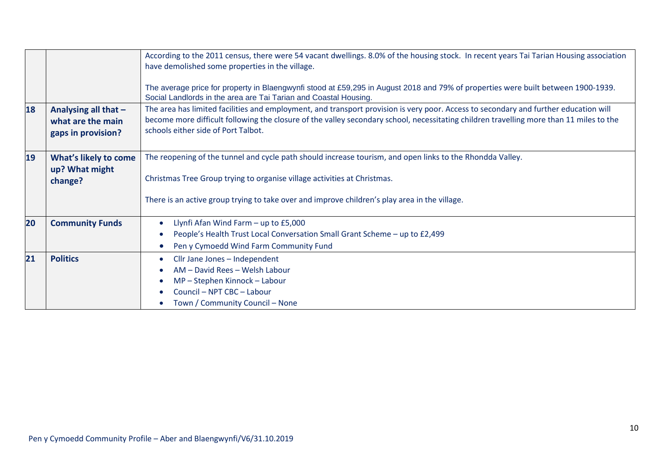|    |                                                                 | According to the 2011 census, there were 54 vacant dwellings. 8.0% of the housing stock. In recent years Tai Tarian Housing association<br>have demolished some properties in the village.                                                                                                                             |
|----|-----------------------------------------------------------------|------------------------------------------------------------------------------------------------------------------------------------------------------------------------------------------------------------------------------------------------------------------------------------------------------------------------|
|    |                                                                 | The average price for property in Blaengwynfi stood at £59,295 in August 2018 and 79% of properties were built between 1900-1939.<br>Social Landlords in the area are Tai Tarian and Coastal Housing.                                                                                                                  |
| 18 | Analysing all that -<br>what are the main<br>gaps in provision? | The area has limited facilities and employment, and transport provision is very poor. Access to secondary and further education will<br>become more difficult following the closure of the valley secondary school, necessitating children travelling more than 11 miles to the<br>schools either side of Port Talbot. |
| 19 | What's likely to come<br>up? What might<br>change?              | The reopening of the tunnel and cycle path should increase tourism, and open links to the Rhondda Valley.<br>Christmas Tree Group trying to organise village activities at Christmas.<br>There is an active group trying to take over and improve children's play area in the village.                                 |
| 20 | <b>Community Funds</b>                                          | Llynfi Afan Wind Farm - up to £5,000<br>People's Health Trust Local Conversation Small Grant Scheme - up to £2,499<br>Pen y Cymoedd Wind Farm Community Fund                                                                                                                                                           |
| 21 | <b>Politics</b>                                                 | Cllr Jane Jones - Independent<br>AM - David Rees - Welsh Labour<br>MP - Stephen Kinnock - Labour<br>Council - NPT CBC - Labour<br>Town / Community Council - None                                                                                                                                                      |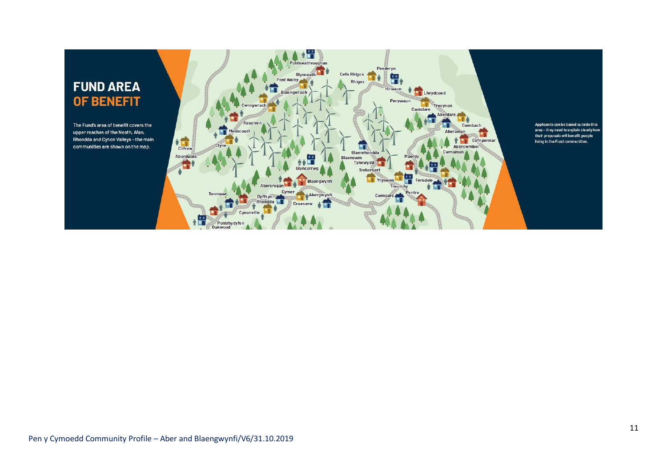